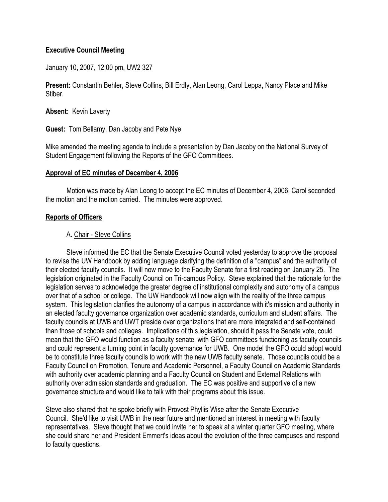## **Executive Council Meeting**

January 10, 2007, 12:00 pm, UW2 327

**Present:** Constantin Behler, Steve Collins, Bill Erdly, Alan Leong, Carol Leppa, Nancy Place and Mike Stiber.

**Absent:** Kevin Laverty

**Guest:** Tom Bellamy, Dan Jacoby and Pete Nye

Mike amended the meeting agenda to include a presentation by Dan Jacoby on the National Survey of Student Engagement following the Reports of the GFO Committees.

#### **Approval of EC minutes of December 4, 2006**

 Motion was made by Alan Leong to accept the EC minutes of December 4, 2006, Carol seconded the motion and the motion carried. The minutes were approved.

#### **Reports of Officers**

#### A. Chair - Steve Collins

 Steve informed the EC that the Senate Executive Council voted yesterday to approve the proposal to revise the UW Handbook by adding language clarifying the definition of a "campus" and the authority of their elected faculty councils. It will now move to the Faculty Senate for a first reading on January 25. The legislation originated in the Faculty Council on Tri-campus Policy. Steve explained that the rationale for the legislation serves to acknowledge the greater degree of institutional complexity and autonomy of a campus over that of a school or college. The UW Handbook will now align with the reality of the three campus system. This legislation clarifies the autonomy of a campus in accordance with it's mission and authority in an elected faculty governance organization over academic standards, curriculum and student affairs. The faculty councils at UWB and UWT preside over organizations that are more integrated and self-contained than those of schools and colleges. Implications of this legislation, should it pass the Senate vote, could mean that the GFO would function as a faculty senate, with GFO committees functioning as faculty councils and could represent a turning point in faculty governance for UWB. One model the GFO could adopt would be to constitute three faculty councils to work with the new UWB faculty senate. Those councils could be a Faculty Council on Promotion, Tenure and Academic Personnel, a Faculty Council on Academic Standards with authority over academic planning and a Faculty Council on Student and External Relations with authority over admission standards and graduation. The EC was positive and supportive of a new governance structure and would like to talk with their programs about this issue.

Steve also shared that he spoke briefly with Provost Phyllis Wise after the Senate Executive Council. She'd like to visit UWB in the near future and mentioned an interest in meeting with faculty representatives. Steve thought that we could invite her to speak at a winter quarter GFO meeting, where she could share her and President Emmert's ideas about the evolution of the three campuses and respond to faculty questions.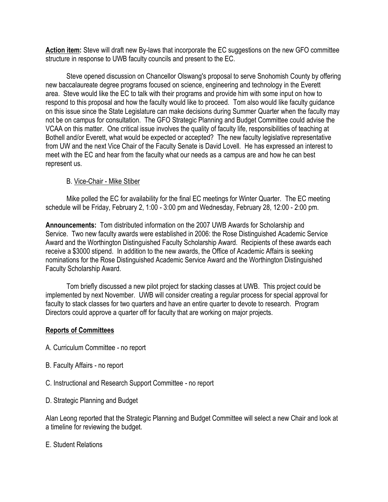**Action item:** Steve will draft new By-laws that incorporate the EC suggestions on the new GFO committee structure in response to UWB faculty councils and present to the EC.

 Steve opened discussion on Chancellor Olswang's proposal to serve Snohomish County by offering new baccalaureate degree programs focused on science, engineering and technology in the Everett area. Steve would like the EC to talk with their programs and provide him with some input on how to respond to this proposal and how the faculty would like to proceed. Tom also would like faculty guidance on this issue since the State Legislature can make decisions during Summer Quarter when the faculty may not be on campus for consultation. The GFO Strategic Planning and Budget Committee could advise the VCAA on this matter. One critical issue involves the quality of faculty life, responsibilities of teaching at Bothell and/or Everett, what would be expected or accepted? The new faculty legislative representative from UW and the next Vice Chair of the Faculty Senate is David Lovell. He has expressed an interest to meet with the EC and hear from the faculty what our needs as a campus are and how he can best represent us.

## B. Vice-Chair - Mike Stiber

 Mike polled the EC for availability for the final EC meetings for Winter Quarter. The EC meeting schedule will be Friday, February 2, 1:00 - 3:00 pm and Wednesday, February 28, 12:00 - 2:00 pm.

**Announcements:** Tom distributed information on the 2007 UWB Awards for Scholarship and Service. Two new faculty awards were established in 2006: the Rose Distinguished Academic Service Award and the Worthington Distinguished Faculty Scholarship Award. Recipients of these awards each receive a \$3000 stipend. In addition to the new awards, the Office of Academic Affairs is seeking nominations for the Rose Distinguished Academic Service Award and the Worthington Distinguished Faculty Scholarship Award.

Tom briefly discussed a new pilot project for stacking classes at UWB. This project could be implemented by next November. UWB will consider creating a regular process for special approval for faculty to stack classes for two quarters and have an entire quarter to devote to research. Program Directors could approve a quarter off for faculty that are working on major projects.

## **Reports of Committees**

- A. Curriculum Committee no report
- B. Faculty Affairs no report
- C. Instructional and Research Support Committee no report
- D. Strategic Planning and Budget

Alan Leong reported that the Strategic Planning and Budget Committee will select a new Chair and look at a timeline for reviewing the budget.

#### E. Student Relations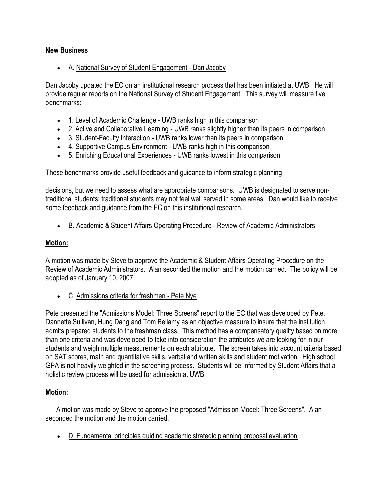# **New Business**

A. National Survey of Student Engagement - Dan Jacoby

Dan Jacoby updated the EC on an institutional research process that has been initiated at UWB. He will provide regular reports on the National Survey of Student Engagement. This survey will measure five benchmarks:

- 1. Level of Academic Challenge UWB ranks high in this comparison
- 2. Active and Collaborative Learning UWB ranks slightly higher than its peers in comparison
- 3. Student-Faculty Interaction UWB ranks lower than its peers in comparison
- 4. Supportive Campus Environment UWB ranks high in this comparison
- 5. Enriching Educational Experiences UWB ranks lowest in this comparison

These benchmarks provide useful feedback and guidance to inform strategic planning

decisions, but we need to assess what are appropriate comparisons. UWB is designated to serve nontraditional students; traditional students may not feel well served in some areas. Dan would like to receive some feedback and guidance from the EC on this institutional research.

B. Academic & Student Affairs Operating Procedure - Review of Academic Administrators

## **Motion:**

A motion was made by Steve to approve the Academic & Student Affairs Operating Procedure on the Review of Academic Administrators. Alan seconded the motion and the motion carried. The policy will be adopted as of January 10, 2007.

C. Admissions criteria for freshmen - Pete Nye

Pete presented the "Admissions Model: Three Screens" report to the EC that was developed by Pete, Dannette Sullivan, Hung Dang and Tom Bellamy as an objective measure to insure that the institution admits prepared students to the freshman class. This method has a compensatory quality based on more than one criteria and was developed to take into consideration the attributes we are looking for in our students and weigh multiple measurements on each attribute. The screen takes into account criteria based on SAT scores, math and quantitative skills, verbal and written skills and student motivation. High school GPA is not heavily weighted in the screening process. Students will be informed by Student Affairs that a holistic review process will be used for admission at UWB.

## **Motion:**

 A motion was made by Steve to approve the proposed "Admission Model: Three Screens". Alan seconded the motion and the motion carried.

D. Fundamental principles guiding academic strategic planning proposal evaluation